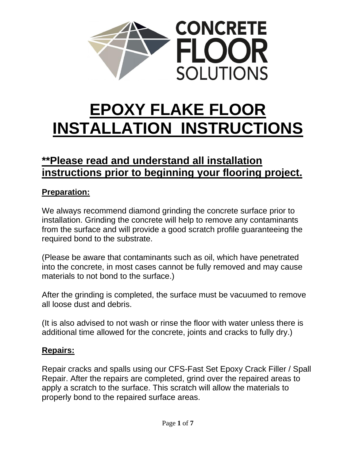

# **EPOXY FLAKE FLOOR INSTALLATION INSTRUCTIONS**

# **\*\*Please read and understand all installation instructions prior to beginning your flooring project.**

### **Preparation:**

We always recommend diamond grinding the concrete surface prior to installation. Grinding the concrete will help to remove any contaminants from the surface and will provide a good scratch profile guaranteeing the required bond to the substrate.

(Please be aware that contaminants such as oil, which have penetrated into the concrete, in most cases cannot be fully removed and may cause materials to not bond to the surface.)

After the grinding is completed, the surface must be vacuumed to remove all loose dust and debris.

(It is also advised to not wash or rinse the floor with water unless there is additional time allowed for the concrete, joints and cracks to fully dry.)

### **Repairs:**

Repair cracks and spalls using our CFS-Fast Set Epoxy Crack Filler / Spall Repair. After the repairs are completed, grind over the repaired areas to apply a scratch to the surface. This scratch will allow the materials to properly bond to the repaired surface areas.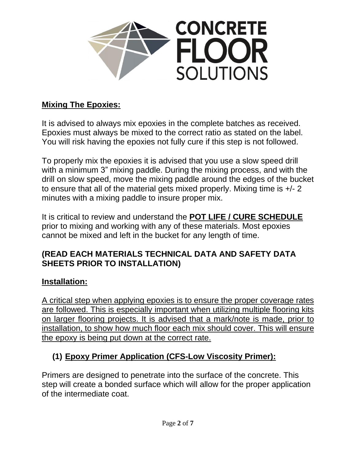

### **Mixing The Epoxies:**

It is advised to always mix epoxies in the complete batches as received. Epoxies must always be mixed to the correct ratio as stated on the label. You will risk having the epoxies not fully cure if this step is not followed.

To properly mix the epoxies it is advised that you use a slow speed drill with a minimum 3" mixing paddle. During the mixing process, and with the drill on slow speed, move the mixing paddle around the edges of the bucket to ensure that all of the material gets mixed properly. Mixing time is +/- 2 minutes with a mixing paddle to insure proper mix.

It is critical to review and understand the **POT LIFE / CURE SCHEDULE** prior to mixing and working with any of these materials. Most epoxies cannot be mixed and left in the bucket for any length of time.

#### **(READ EACH MATERIALS TECHNICAL DATA AND SAFETY DATA SHEETS PRIOR TO INSTALLATION)**

#### **Installation:**

A critical step when applying epoxies is to ensure the proper coverage rates are followed. This is especially important when utilizing multiple flooring kits on larger flooring projects. It is advised that a mark/note is made, prior to installation, to show how much floor each mix should cover. This will ensure the epoxy is being put down at the correct rate.

# **(1) Epoxy Primer Application (CFS-Low Viscosity Primer):**

Primers are designed to penetrate into the surface of the concrete. This step will create a bonded surface which will allow for the proper application of the intermediate coat.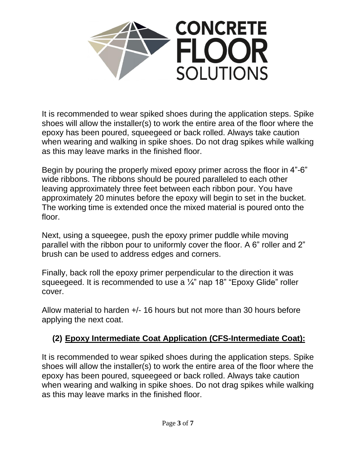

It is recommended to wear spiked shoes during the application steps. Spike shoes will allow the installer(s) to work the entire area of the floor where the epoxy has been poured, squeegeed or back rolled. Always take caution when wearing and walking in spike shoes. Do not drag spikes while walking as this may leave marks in the finished floor.

Begin by pouring the properly mixed epoxy primer across the floor in 4"-6" wide ribbons. The ribbons should be poured paralleled to each other leaving approximately three feet between each ribbon pour. You have approximately 20 minutes before the epoxy will begin to set in the bucket. The working time is extended once the mixed material is poured onto the floor.

Next, using a squeegee, push the epoxy primer puddle while moving parallel with the ribbon pour to uniformly cover the floor. A 6" roller and 2" brush can be used to address edges and corners.

Finally, back roll the epoxy primer perpendicular to the direction it was squeegeed. It is recommended to use a 1/4" nap 18" "Epoxy Glide" roller cover.

Allow material to harden +/- 16 hours but not more than 30 hours before applying the next coat.

# **(2) Epoxy Intermediate Coat Application (CFS-Intermediate Coat):**

It is recommended to wear spiked shoes during the application steps. Spike shoes will allow the installer(s) to work the entire area of the floor where the epoxy has been poured, squeegeed or back rolled. Always take caution when wearing and walking in spike shoes. Do not drag spikes while walking as this may leave marks in the finished floor.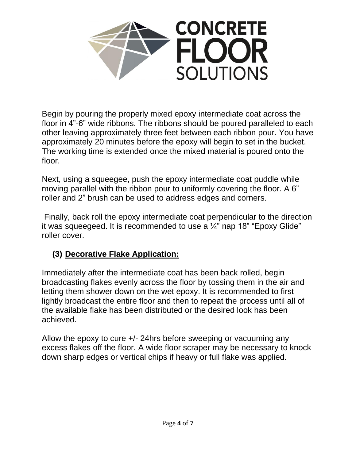

Begin by pouring the properly mixed epoxy intermediate coat across the floor in 4"-6" wide ribbons. The ribbons should be poured paralleled to each other leaving approximately three feet between each ribbon pour. You have approximately 20 minutes before the epoxy will begin to set in the bucket. The working time is extended once the mixed material is poured onto the floor.

Next, using a squeegee, push the epoxy intermediate coat puddle while moving parallel with the ribbon pour to uniformly covering the floor. A 6" roller and 2" brush can be used to address edges and corners.

Finally, back roll the epoxy intermediate coat perpendicular to the direction it was squeegeed. It is recommended to use a  $\frac{1}{4}$ " nap 18" "Epoxy Glide" roller cover.

# **(3) Decorative Flake Application:**

Immediately after the intermediate coat has been back rolled, begin broadcasting flakes evenly across the floor by tossing them in the air and letting them shower down on the wet epoxy. It is recommended to first lightly broadcast the entire floor and then to repeat the process until all of the available flake has been distributed or the desired look has been achieved.

Allow the epoxy to cure +/- 24hrs before sweeping or vacuuming any excess flakes off the floor. A wide floor scraper may be necessary to knock down sharp edges or vertical chips if heavy or full flake was applied.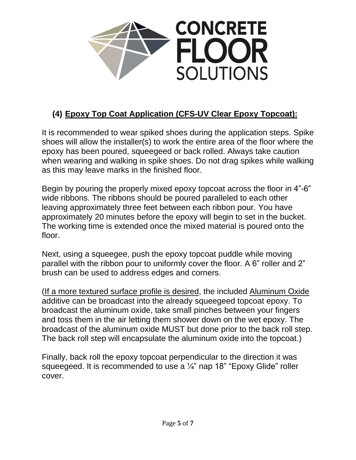

# **(4) Epoxy Top Coat Application (CFS-UV Clear Epoxy Topcoat):**

It is recommended to wear spiked shoes during the application steps. Spike shoes will allow the installer(s) to work the entire area of the floor where the epoxy has been poured, squeegeed or back rolled. Always take caution when wearing and walking in spike shoes. Do not drag spikes while walking as this may leave marks in the finished floor.

Begin by pouring the properly mixed epoxy topcoat across the floor in 4"-6" wide ribbons. The ribbons should be poured paralleled to each other leaving approximately three feet between each ribbon pour. You have approximately 20 minutes before the epoxy will begin to set in the bucket. The working time is extended once the mixed material is poured onto the floor.

Next, using a squeegee, push the epoxy topcoat puddle while moving parallel with the ribbon pour to uniformly cover the floor. A 6" roller and 2" brush can be used to address edges and corners.

(If a more textured surface profile is desired, the included Aluminum Oxide additive can be broadcast into the already squeegeed topcoat epoxy. To broadcast the aluminum oxide, take small pinches between your fingers and toss them in the air letting them shower down on the wet epoxy. The broadcast of the aluminum oxide MUST but done prior to the back roll step. The back roll step will encapsulate the aluminum oxide into the topcoat.)

Finally, back roll the epoxy topcoat perpendicular to the direction it was squeegeed. It is recommended to use a  $\frac{1}{4}$ " nap 18" "Epoxy Glide" roller cover.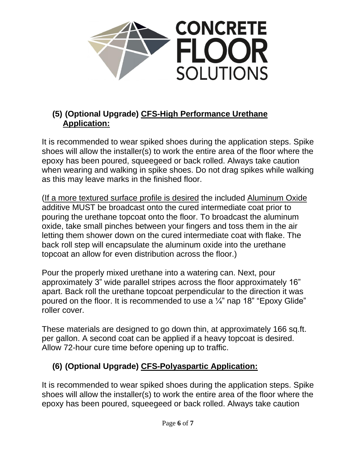

### **(5) (Optional Upgrade) CFS-High Performance Urethane Application:**

It is recommended to wear spiked shoes during the application steps. Spike shoes will allow the installer(s) to work the entire area of the floor where the epoxy has been poured, squeegeed or back rolled. Always take caution when wearing and walking in spike shoes. Do not drag spikes while walking as this may leave marks in the finished floor.

(If a more textured surface profile is desired the included Aluminum Oxide additive MUST be broadcast onto the cured intermediate coat prior to pouring the urethane topcoat onto the floor. To broadcast the aluminum oxide, take small pinches between your fingers and toss them in the air letting them shower down on the cured intermediate coat with flake. The back roll step will encapsulate the aluminum oxide into the urethane topcoat an allow for even distribution across the floor.)

Pour the properly mixed urethane into a watering can. Next, pour approximately 3" wide parallel stripes across the floor approximately 16" apart. Back roll the urethane topcoat perpendicular to the direction it was poured on the floor. It is recommended to use a  $\frac{1}{4}$ " nap 18" "Epoxy Glide" roller cover.

These materials are designed to go down thin, at approximately 166 sq.ft. per gallon. A second coat can be applied if a heavy topcoat is desired. Allow 72-hour cure time before opening up to traffic.

# **(6) (Optional Upgrade) CFS-Polyaspartic Application:**

It is recommended to wear spiked shoes during the application steps. Spike shoes will allow the installer(s) to work the entire area of the floor where the epoxy has been poured, squeegeed or back rolled. Always take caution